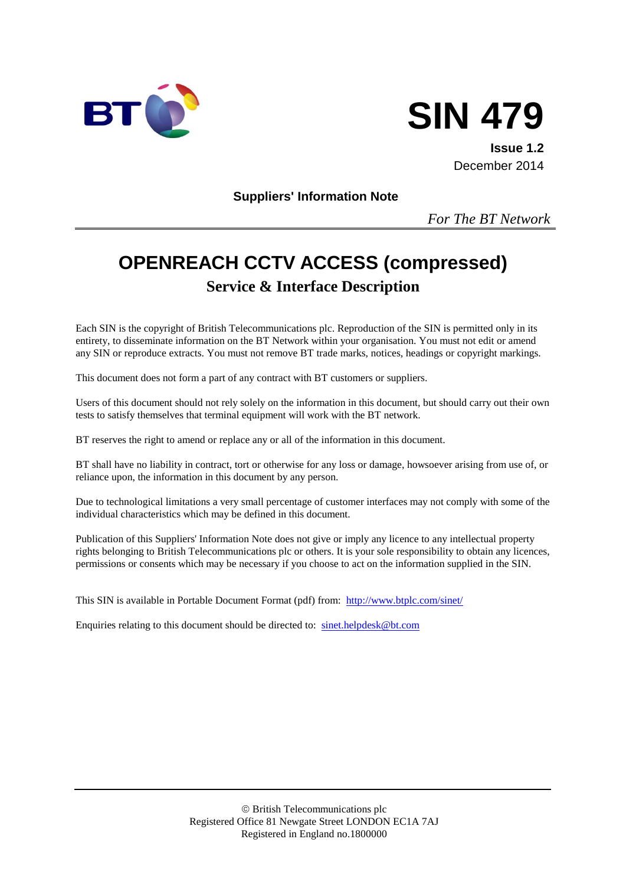



**Issue 1.2** December 2014

**Suppliers' Information Note**

*For The BT Network*

# **OPENREACH CCTV ACCESS (compressed) Service & Interface Description**

Each SIN is the copyright of British Telecommunications plc. Reproduction of the SIN is permitted only in its entirety, to disseminate information on the BT Network within your organisation. You must not edit or amend any SIN or reproduce extracts. You must not remove BT trade marks, notices, headings or copyright markings.

This document does not form a part of any contract with BT customers or suppliers.

Users of this document should not rely solely on the information in this document, but should carry out their own tests to satisfy themselves that terminal equipment will work with the BT network.

BT reserves the right to amend or replace any or all of the information in this document.

BT shall have no liability in contract, tort or otherwise for any loss or damage, howsoever arising from use of, or reliance upon, the information in this document by any person.

Due to technological limitations a very small percentage of customer interfaces may not comply with some of the individual characteristics which may be defined in this document.

Publication of this Suppliers' Information Note does not give or imply any licence to any intellectual property rights belonging to British Telecommunications plc or others. It is your sole responsibility to obtain any licences, permissions or consents which may be necessary if you choose to act on the information supplied in the SIN.

This SIN is available in Portable Document Format (pdf) from: <http://www.btplc.com/sinet/>

Enquiries relating to this document should be directed to: [sinet.helpdesk@bt.com](mailto:sinet.helpdesk@bt.com)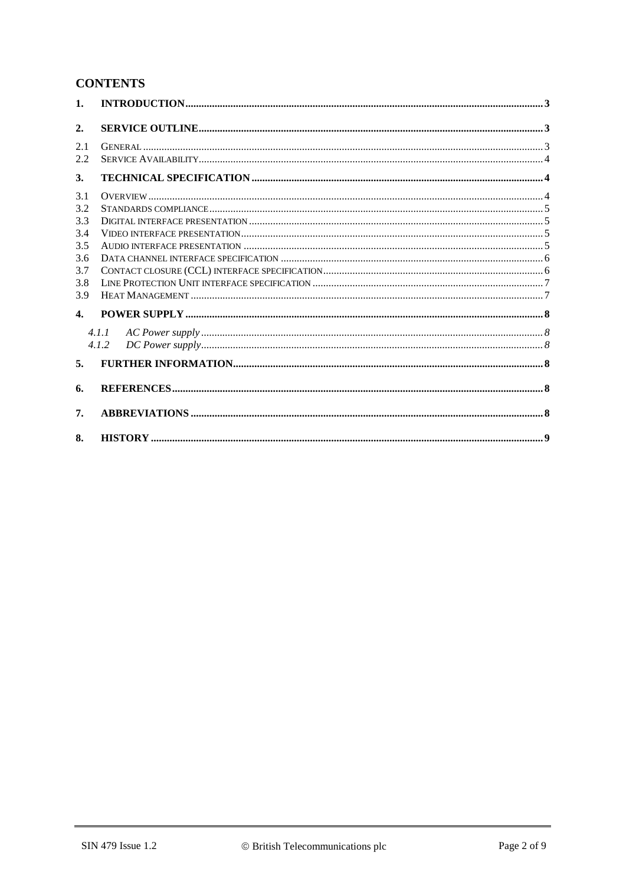# **CONTENTS**

| $\mathbf{1}$ . |                             |  |
|----------------|-----------------------------|--|
| 2.             |                             |  |
| 2.1            |                             |  |
| 2.2            |                             |  |
| 3.             |                             |  |
| 3.1            |                             |  |
| 3.2            |                             |  |
| 3.3            |                             |  |
| 3.4            |                             |  |
| 3.5            |                             |  |
| 3.6            |                             |  |
| 3.7            |                             |  |
| 3.8            |                             |  |
| 3.9            |                             |  |
| $\mathbf{4}$ . |                             |  |
|                | AC Power supply 38<br>4.1.1 |  |
|                | 4.1.2                       |  |
| 5.             |                             |  |
| 6.             |                             |  |
| 7.             |                             |  |
| 8.             |                             |  |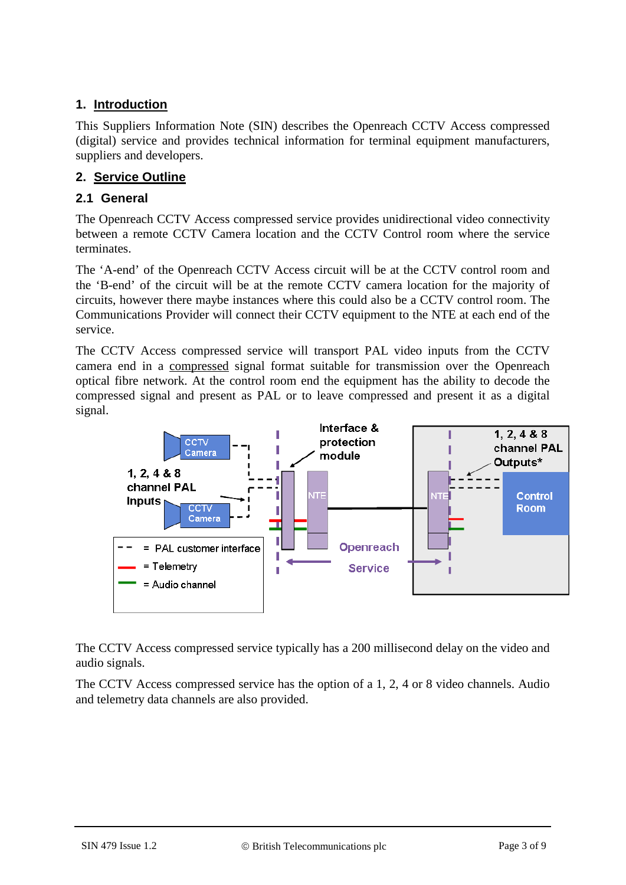# **1. Introduction**

This Suppliers Information Note (SIN) describes the Openreach CCTV Access compressed (digital) service and provides technical information for terminal equipment manufacturers, suppliers and developers.

#### **2. Service Outline**

#### **2.1 General**

The Openreach CCTV Access compressed service provides unidirectional video connectivity between a remote CCTV Camera location and the CCTV Control room where the service terminates.

The 'A-end' of the Openreach CCTV Access circuit will be at the CCTV control room and the 'B-end' of the circuit will be at the remote CCTV camera location for the majority of circuits, however there maybe instances where this could also be a CCTV control room. The Communications Provider will connect their CCTV equipment to the NTE at each end of the service.

The CCTV Access compressed service will transport PAL video inputs from the CCTV camera end in a compressed signal format suitable for transmission over the Openreach optical fibre network. At the control room end the equipment has the ability to decode the compressed signal and present as PAL or to leave compressed and present it as a digital signal.



The CCTV Access compressed service typically has a 200 millisecond delay on the video and audio signals.

The CCTV Access compressed service has the option of a 1, 2, 4 or 8 video channels. Audio and telemetry data channels are also provided.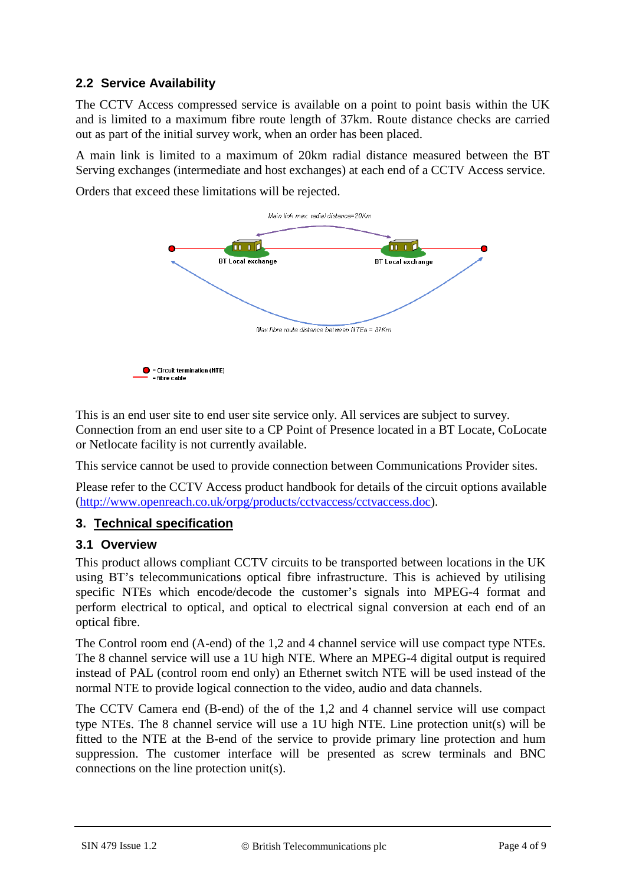# **2.2 Service Availability**

The CCTV Access compressed service is available on a point to point basis within the UK and is limited to a maximum fibre route length of 37km. Route distance checks are carried out as part of the initial survey work, when an order has been placed.

A main link is limited to a maximum of 20km radial distance measured between the BT Serving exchanges (intermediate and host exchanges) at each end of a CCTV Access service.

Orders that exceed these limitations will be rejected.



This is an end user site to end user site service only. All services are subject to survey. Connection from an end user site to a CP Point of Presence located in a BT Locate, CoLocate or Netlocate facility is not currently available.

This service cannot be used to provide connection between Communications Provider sites.

Please refer to the CCTV Access product handbook for details of the circuit options available [\(http://www.openreach.co.uk/orpg/products/cctvaccess/cctvaccess.doc\)](http://www.openreach.co.uk/orpg/products/cctvaccess/cctvaccess.doc).

#### **3. Technical specification**

#### **3.1 Overview**

This product allows compliant CCTV circuits to be transported between locations in the UK using BT's telecommunications optical fibre infrastructure. This is achieved by utilising specific NTEs which encode/decode the customer's signals into MPEG-4 format and perform electrical to optical, and optical to electrical signal conversion at each end of an optical fibre.

The Control room end (A-end) of the 1,2 and 4 channel service will use compact type NTEs. The 8 channel service will use a 1U high NTE. Where an MPEG-4 digital output is required instead of PAL (control room end only) an Ethernet switch NTE will be used instead of the normal NTE to provide logical connection to the video, audio and data channels.

The CCTV Camera end (B-end) of the of the 1,2 and 4 channel service will use compact type NTEs. The 8 channel service will use a 1U high NTE. Line protection unit(s) will be fitted to the NTE at the B-end of the service to provide primary line protection and hum suppression. The customer interface will be presented as screw terminals and BNC connections on the line protection unit(s).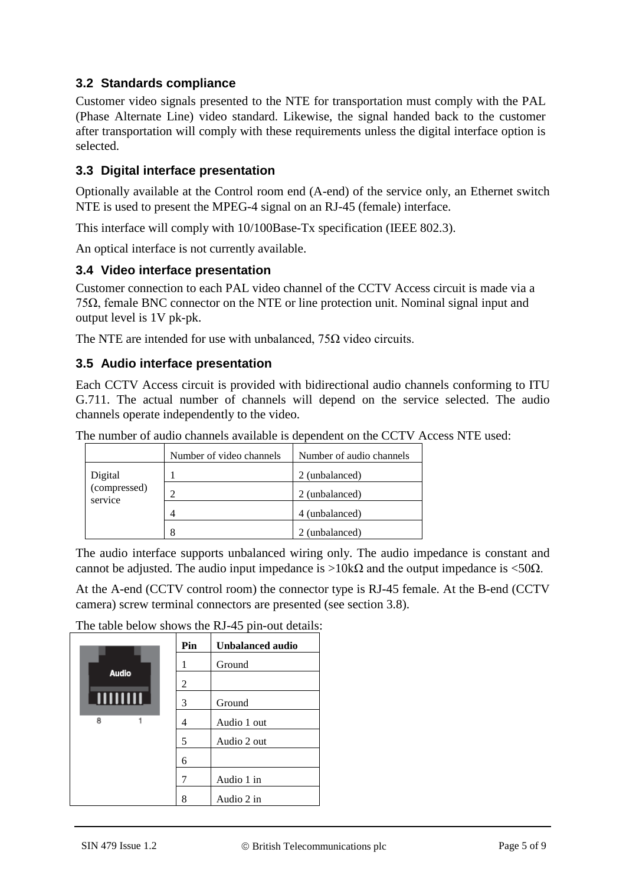#### **3.2 Standards compliance**

Customer video signals presented to the NTE for transportation must comply with the PAL (Phase Alternate Line) video standard. Likewise, the signal handed back to the customer after transportation will comply with these requirements unless the digital interface option is selected.

#### **3.3 Digital interface presentation**

Optionally available at the Control room end (A-end) of the service only, an Ethernet switch NTE is used to present the MPEG-4 signal on an RJ-45 (female) interface.

This interface will comply with 10/100Base-Tx specification (IEEE 802.3).

An optical interface is not currently available.

#### **3.4 Video interface presentation**

Customer connection to each PAL video channel of the CCTV Access circuit is made via a 75Ω, female BNC connector on the NTE or line protection unit. Nominal signal input and output level is 1V pk-pk.

The NTE are intended for use with unbalanced,  $75\Omega$  video circuits.

#### **3.5 Audio interface presentation**

Each CCTV Access circuit is provided with bidirectional audio channels conforming to ITU G.711. The actual number of channels will depend on the service selected. The audio channels operate independently to the video.

The number of audio channels available is dependent on the CCTV Access NTE used:

|                         | Number of video channels | Number of audio channels |
|-------------------------|--------------------------|--------------------------|
| Digital                 |                          | 2 (unbalanced)           |
| (compressed)<br>service |                          | 2 (unbalanced)           |
|                         |                          | 4 (unbalanced)           |
|                         |                          | 2 (unbalanced)           |

The audio interface supports unbalanced wiring only. The audio impedance is constant and cannot be adjusted. The audio input impedance is  $>10k\Omega$  and the output impedance is  $<50\Omega$ .

At the A-end (CCTV control room) the connector type is RJ-45 female. At the B-end (CCTV camera) screw terminal connectors are presented (see section 3.8).

The table below shows the RJ-45 pin-out details:

|              |  | Pin            | <b>Unbalanced audio</b> |
|--------------|--|----------------|-------------------------|
| <b>Audio</b> |  | 1              | Ground                  |
|              |  | $\overline{c}$ |                         |
| _IIIIIIIII   |  | 3              | Ground                  |
| 8            |  | 4              | Audio 1 out             |
|              |  | 5              | Audio 2 out             |
|              |  | 6              |                         |
|              |  | 7              | Audio 1 in              |
|              |  | 8              | Audio 2 in              |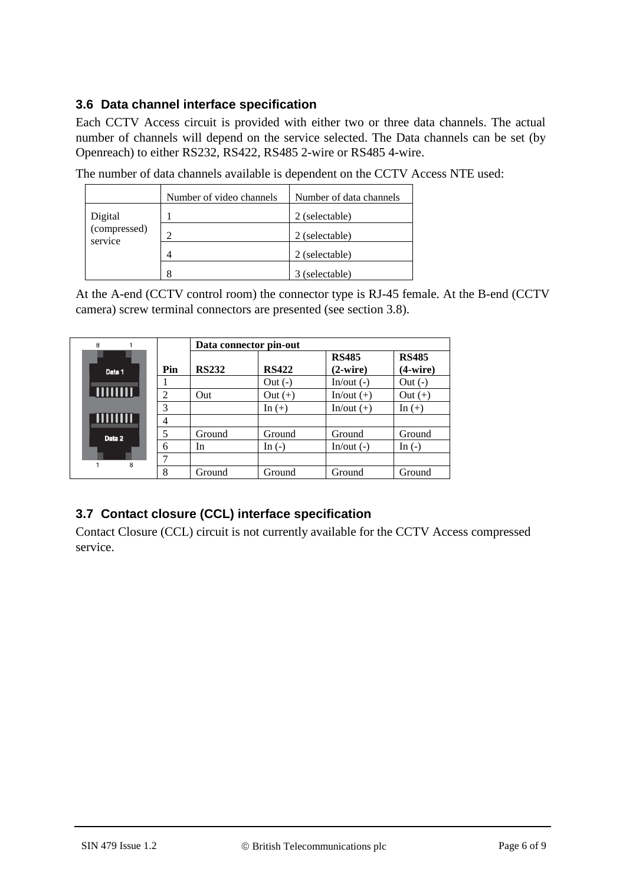## **3.6 Data channel interface specification**

Each CCTV Access circuit is provided with either two or three data channels. The actual number of channels will depend on the service selected. The Data channels can be set (by Openreach) to either RS232, RS422, RS485 2-wire or RS485 4-wire.

The number of data channels available is dependent on the CCTV Access NTE used:

|                         | Number of video channels | Number of data channels |
|-------------------------|--------------------------|-------------------------|
| Digital                 |                          | 2 (selectable)          |
| (compressed)<br>service | റ                        | 2 (selectable)          |
|                         |                          | 2 (selectable)          |
|                         | 8                        | 3 (selectable)          |

At the A-end (CCTV control room) the connector type is RJ-45 female. At the B-end (CCTV camera) screw terminal connectors are presented (see section 3.8).

| 8             |                | Data connector pin-out |              |                   |              |
|---------------|----------------|------------------------|--------------|-------------------|--------------|
|               |                |                        |              | <b>RS485</b>      | <b>RS485</b> |
| Data 1        | Pin            | <b>RS232</b>           | <b>RS422</b> | $(2\text{-wire})$ | $(4-wire)$   |
|               |                |                        | $Out(-)$     | In/out $(-)$      | $Out(-)$     |
| <b>THITHE</b> | $\overline{2}$ | Out                    | Out $(+)$    | $In/out (+)$      | Out $(+)$    |
|               | 3              |                        | In $(+)$     | $In/out (+)$      | In $(+)$     |
|               | 4              |                        |              |                   |              |
| Data 2        | 5              | Ground                 | Ground       | Ground            | Ground       |
|               | 6              | In                     | In $(-)$     | In/out $(-)$      | In $(-)$     |
| 8             | ⇁              |                        |              |                   |              |
|               | 8              | Ground                 | Ground       | Ground            | Ground       |

# **3.7 Contact closure (CCL) interface specification**

Contact Closure (CCL) circuit is not currently available for the CCTV Access compressed service.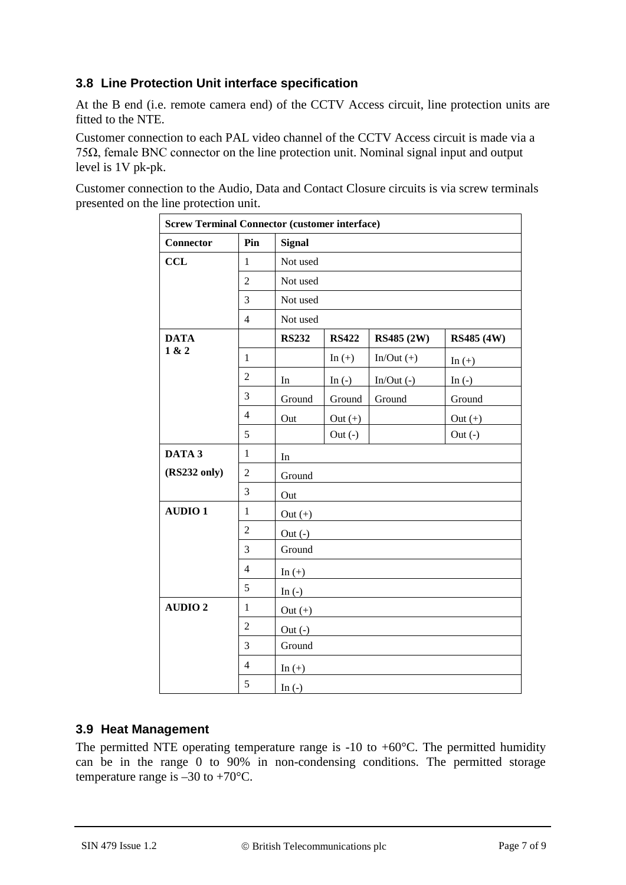# **3.8 Line Protection Unit interface specification**

At the B end (i.e. remote camera end) of the CCTV Access circuit, line protection units are fitted to the NTE.

Customer connection to each PAL video channel of the CCTV Access circuit is made via a 75Ω, female BNC connector on the line protection unit. Nominal signal input and output level is 1V pk-pk.

Customer connection to the Audio, Data and Contact Closure circuits is via screw terminals presented on the line protection unit.

| <b>Screw Terminal Connector (customer interface)</b> |                |               |              |              |                   |
|------------------------------------------------------|----------------|---------------|--------------|--------------|-------------------|
| <b>Connector</b>                                     | Pin            | <b>Signal</b> |              |              |                   |
| <b>CCL</b>                                           | $\mathbf{1}$   | Not used      |              |              |                   |
|                                                      | $\overline{2}$ | Not used      |              |              |                   |
|                                                      | 3              | Not used      |              |              |                   |
|                                                      | $\overline{4}$ | Not used      |              |              |                   |
| <b>DATA</b>                                          |                | <b>RS232</b>  | <b>RS422</b> | RS485 (2W)   | <b>RS485 (4W)</b> |
| 1 & 2                                                | $\mathbf{1}$   |               | In $(+)$     | $In/Out (+)$ | In $(+)$          |
|                                                      | $\mathfrak{2}$ | In            | In $(-)$     | In/Out $(-)$ | In $(-)$          |
|                                                      | 3              | Ground        | Ground       | Ground       | Ground            |
|                                                      | $\overline{4}$ | Out           | Out $(+)$    |              | Out $(+)$         |
|                                                      | 5              |               | $Out (-)$    |              | $Out(-)$          |
| DATA 3                                               | $\mathbf{1}$   | In            |              |              |                   |
| (RS232 only)                                         | $\overline{2}$ | Ground        |              |              |                   |
|                                                      | 3              | Out           |              |              |                   |
| <b>AUDIO1</b>                                        | $\mathbf{1}$   | Out $(+)$     |              |              |                   |
|                                                      | $\overline{2}$ | Out $(-)$     |              |              |                   |
|                                                      | 3              | Ground        |              |              |                   |
|                                                      | $\overline{4}$ | In $(+)$      |              |              |                   |
|                                                      | 5              | In $(-)$      |              |              |                   |
| <b>AUDIO2</b>                                        | $\mathbf{1}$   | Out $(+)$     |              |              |                   |
|                                                      | $\overline{2}$ | Out $(-)$     |              |              |                   |
|                                                      | 3              | Ground        |              |              |                   |
|                                                      | $\overline{4}$ | In $(+)$      |              |              |                   |
|                                                      | 5              | In $(-)$      |              |              |                   |

#### **3.9 Heat Management**

The permitted NTE operating temperature range is  $-10$  to  $+60^{\circ}$ C. The permitted humidity can be in the range 0 to 90% in non-condensing conditions. The permitted storage temperature range is  $-30$  to  $+70^{\circ}$ C.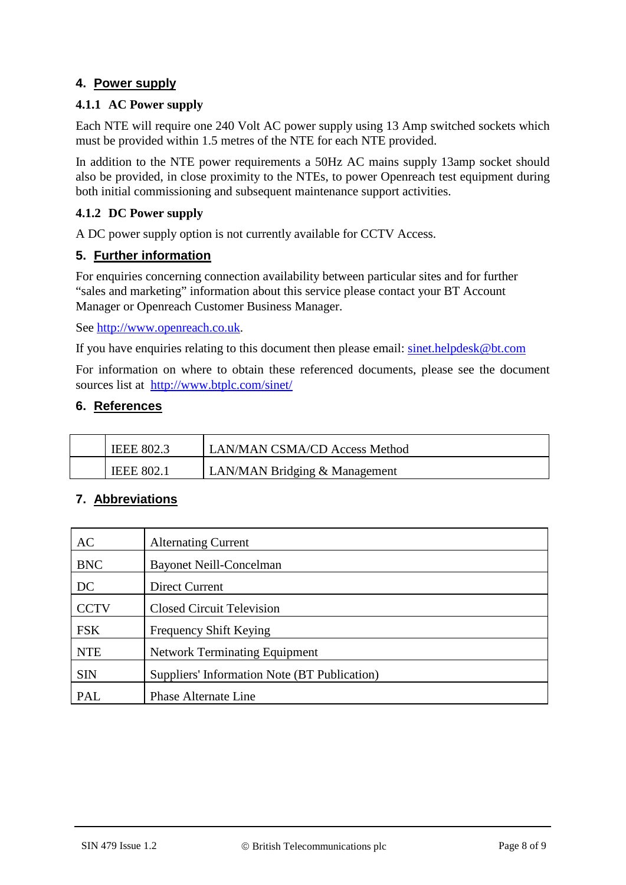## **4. Power supply**

#### **4.1.1 AC Power supply**

Each NTE will require one 240 Volt AC power supply using 13 Amp switched sockets which must be provided within 1.5 metres of the NTE for each NTE provided.

In addition to the NTE power requirements a 50Hz AC mains supply 13amp socket should also be provided, in close proximity to the NTEs, to power Openreach test equipment during both initial commissioning and subsequent maintenance support activities.

#### **4.1.2 DC Power supply**

A DC power supply option is not currently available for CCTV Access.

#### **5. Further information**

For enquiries concerning connection availability between particular sites and for further "sales and marketing" information about this service please contact your BT Account Manager or Openreach Customer Business Manager.

See [http://www.openreach.co.uk.](http://www.openreach.co.uk/)

If you have enquiries relating to this document then please email: [sinet.helpdesk@bt.com](mailto:sinet.helpdesk@bt.com)

For information on where to obtain these referenced documents, please see the document sources list at <http://www.btplc.com/sinet/>

#### **6. References**

| <b>IEEE 802.3</b> | <b>LAN/MAN CSMA/CD Access Method</b> |
|-------------------|--------------------------------------|
| <b>IEEE 802.1</b> | LAN/MAN Bridging & Management        |

#### **7. Abbreviations**

| <b>AC</b>   | <b>Alternating Current</b>                   |  |
|-------------|----------------------------------------------|--|
| <b>BNC</b>  | <b>Bayonet Neill-Concelman</b>               |  |
| DC          | <b>Direct Current</b>                        |  |
| <b>CCTV</b> | <b>Closed Circuit Television</b>             |  |
| <b>FSK</b>  | Frequency Shift Keying                       |  |
| <b>NTE</b>  | <b>Network Terminating Equipment</b>         |  |
| <b>SIN</b>  | Suppliers' Information Note (BT Publication) |  |
| PAL         | <b>Phase Alternate Line</b>                  |  |